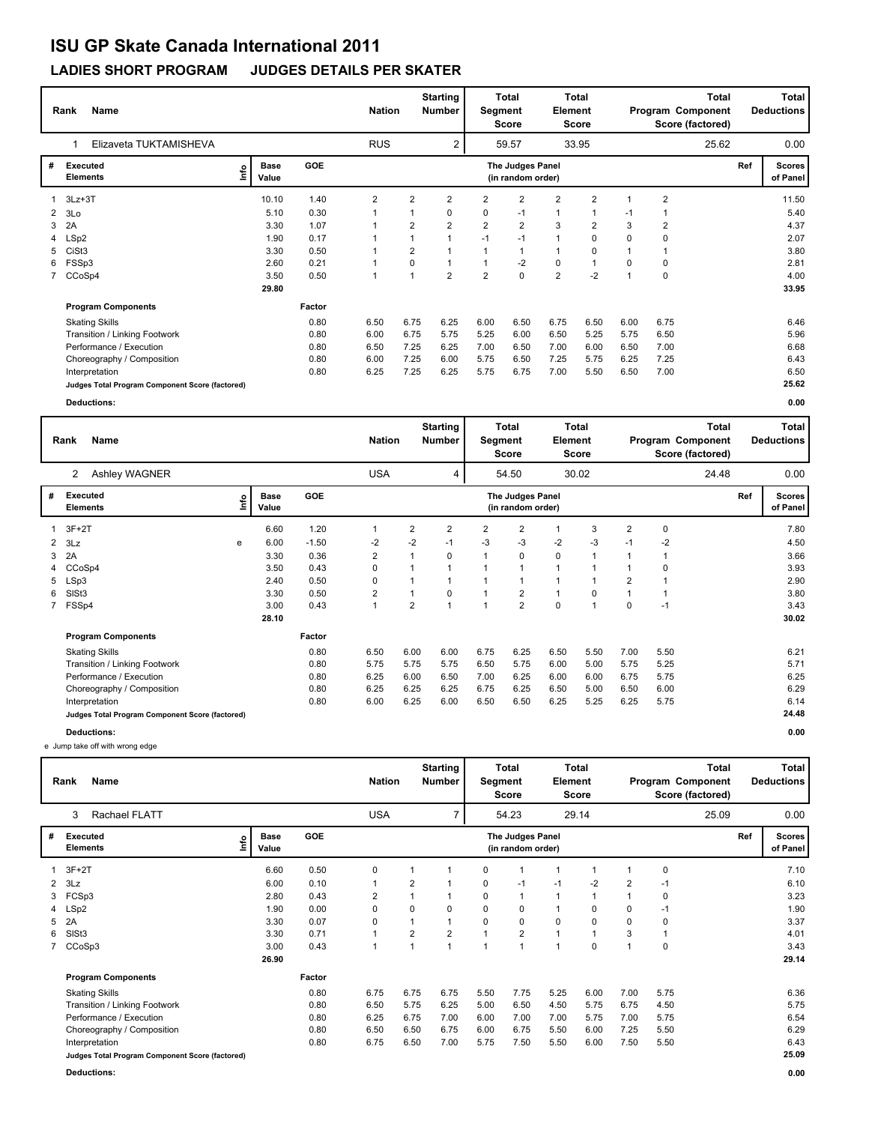### **LADIES SHORT PROGRAM JUDGES DETAILS PER SKATER**

|   | <b>Name</b><br>Rank                             |      |                      |        | <b>Nation</b>  |                         | <b>Starting</b><br><b>Number</b> | Segment        | Total<br>Score                        | <b>Element</b> | Total<br><b>Score</b> |                         |                | <b>Total</b><br>Program Component<br>Score (factored) |     | Total<br><b>Deductions</b> |
|---|-------------------------------------------------|------|----------------------|--------|----------------|-------------------------|----------------------------------|----------------|---------------------------------------|----------------|-----------------------|-------------------------|----------------|-------------------------------------------------------|-----|----------------------------|
|   | Elizaveta TUKTAMISHEVA                          |      |                      |        | <b>RUS</b>     |                         | 2                                |                | 59.57                                 |                | 33.95                 |                         |                | 25.62                                                 |     | 0.00                       |
| # | Executed<br><b>Elements</b>                     | Info | <b>Base</b><br>Value | GOE    |                |                         |                                  |                | The Judges Panel<br>(in random order) |                |                       |                         |                |                                                       | Ref | <b>Scores</b><br>of Panel  |
|   | 3Lz+3T                                          |      | 10.10                | 1.40   | $\overline{2}$ | $\overline{2}$          | 2                                | $\overline{2}$ | $\overline{2}$                        | 2              | $\overline{2}$        | 1                       | $\overline{2}$ |                                                       |     | 11.50                      |
| 2 | 3Lo                                             |      | 5.10                 | 0.30   |                |                         | 0                                | 0              | $-1$                                  | $\mathbf{1}$   |                       | $-1$                    | 1              |                                                       |     | 5.40                       |
| 3 | 2A                                              |      | 3.30                 | 1.07   |                | 2                       | $\overline{\mathbf{c}}$          | $\overline{2}$ | $\overline{2}$                        | 3              | 2                     | 3                       | $\overline{2}$ |                                                       |     | 4.37                       |
| 4 | LSp2                                            |      | 1.90                 | 0.17   |                |                         |                                  | $-1$           | $-1$                                  | $\mathbf{1}$   | 0                     | 0                       | 0              |                                                       |     | 2.07                       |
| 5 | CiSt <sub>3</sub>                               |      | 3.30                 | 0.50   |                | $\overline{2}$          |                                  | 1              | $\mathbf 1$                           | 1              | 0                     |                         | $\mathbf 1$    |                                                       |     | 3.80                       |
| 6 | FSSp3                                           |      | 2.60                 | 0.21   |                | $\Omega$                |                                  | $\overline{1}$ | $-2$                                  | $\mathbf 0$    | $\overline{ }$        | 0                       | 0              |                                                       |     | 2.81                       |
|   | 7 CCoSp4                                        |      | 3.50                 | 0.50   |                | $\overline{\mathbf{A}}$ | $\overline{2}$                   | $\overline{2}$ | $\mathbf 0$                           | $\overline{2}$ | $-2$                  | $\overline{\mathbf{A}}$ | $\mathbf 0$    |                                                       |     | 4.00                       |
|   |                                                 |      | 29.80                |        |                |                         |                                  |                |                                       |                |                       |                         |                |                                                       |     | 33.95                      |
|   | <b>Program Components</b>                       |      |                      | Factor |                |                         |                                  |                |                                       |                |                       |                         |                |                                                       |     |                            |
|   | <b>Skating Skills</b>                           |      |                      | 0.80   | 6.50           | 6.75                    | 6.25                             | 6.00           | 6.50                                  | 6.75           | 6.50                  | 6.00                    | 6.75           |                                                       |     | 6.46                       |
|   | Transition / Linking Footwork                   |      |                      | 0.80   | 6.00           | 6.75                    | 5.75                             | 5.25           | 6.00                                  | 6.50           | 5.25                  | 5.75                    | 6.50           |                                                       |     | 5.96                       |
|   | Performance / Execution                         |      |                      | 0.80   | 6.50           | 7.25                    | 6.25                             | 7.00           | 6.50                                  | 7.00           | 6.00                  | 6.50                    | 7.00           |                                                       |     | 6.68                       |
|   | Choreography / Composition                      |      |                      | 0.80   | 6.00           | 7.25                    | 6.00                             | 5.75           | 6.50                                  | 7.25           | 5.75                  | 6.25                    | 7.25           |                                                       |     | 6.43                       |
|   | Interpretation                                  |      |                      | 0.80   | 6.25           | 7.25                    | 6.25                             | 5.75           | 6.75                                  | 7.00           | 5.50                  | 6.50                    | 7.00           |                                                       |     | 6.50                       |
|   | Judges Total Program Component Score (factored) |      |                      |        |                |                         |                                  |                |                                       |                |                       |                         |                |                                                       |     | 25.62                      |
|   | <b>Deductions:</b>                              |      |                      |        |                |                         |                                  |                |                                       |                |                       |                         |                |                                                       |     | 0.00                       |

|              | <b>Name</b><br>Rank                             |      |                      |            | <b>Nation</b>           |                | <b>Starting</b><br><b>Number</b> | Segment | Total<br><b>Score</b>                 | <b>Element</b> | Total<br><b>Score</b> |                |      | <b>Total</b><br>Program Component<br>Score (factored) |     | Total<br><b>Deductions</b> |
|--------------|-------------------------------------------------|------|----------------------|------------|-------------------------|----------------|----------------------------------|---------|---------------------------------------|----------------|-----------------------|----------------|------|-------------------------------------------------------|-----|----------------------------|
|              | Ashley WAGNER<br>2                              |      |                      |            | <b>USA</b>              |                | 4                                |         | 54.50                                 |                | 30.02                 |                |      | 24.48                                                 |     | 0.00                       |
|              | Executed<br><b>Elements</b>                     | ١nf٥ | <b>Base</b><br>Value | <b>GOE</b> |                         |                |                                  |         | The Judges Panel<br>(in random order) |                |                       |                |      |                                                       | Ref | Scores  <br>of Panel       |
|              | $3F+2T$                                         |      | 6.60                 | 1.20       | $\mathbf{1}$            | 2              | $\overline{2}$                   | 2       | $\overline{2}$                        | $\mathbf{1}$   | 3                     | $\overline{2}$ | 0    |                                                       |     | 7.80                       |
| $\mathbf{2}$ | 3Lz                                             | е    | 6.00                 | $-1.50$    | -2                      | $-2$           | $-1$                             | -3      | -3                                    | $-2$           | -3                    | $-1$           | $-2$ |                                                       |     | 4.50                       |
| 3            | 2A                                              |      | 3.30                 | 0.36       | $\overline{2}$          | 1              | $\mathbf 0$                      |         | 0                                     | 0              | $\overline{1}$        |                | 1    |                                                       |     | 3.66                       |
| 4            | CCoSp4                                          |      | 3.50                 | 0.43       | 0                       | 1              |                                  |         | 1                                     | $\mathbf{1}$   |                       |                | 0    |                                                       |     | 3.93                       |
| 5            | LSp3                                            |      | 2.40                 | 0.50       | 0                       | 1              |                                  |         | -1                                    | $\mathbf{1}$   |                       | $\overline{2}$ | 1    |                                                       |     | 2.90                       |
| 6            | SISt <sub>3</sub>                               |      | 3.30                 | 0.50       | $\overline{\mathbf{c}}$ | 1              | $\mathbf 0$                      |         | $\overline{2}$                        | 1              | 0                     |                | 1    |                                                       |     | 3.80                       |
| $7^{\circ}$  | FSSp4                                           |      | 3.00                 | 0.43       | $\mathbf{1}$            | $\overline{2}$ |                                  |         | $\overline{2}$                        | 0              | 1                     | $\Omega$       | $-1$ |                                                       |     | 3.43                       |
|              |                                                 |      | 28.10                |            |                         |                |                                  |         |                                       |                |                       |                |      |                                                       |     | 30.02                      |
|              | <b>Program Components</b>                       |      |                      | Factor     |                         |                |                                  |         |                                       |                |                       |                |      |                                                       |     |                            |
|              | <b>Skating Skills</b>                           |      |                      | 0.80       | 6.50                    | 6.00           | 6.00                             | 6.75    | 6.25                                  | 6.50           | 5.50                  | 7.00           | 5.50 |                                                       |     | 6.21                       |
|              | Transition / Linking Footwork                   |      |                      | 0.80       | 5.75                    | 5.75           | 5.75                             | 6.50    | 5.75                                  | 6.00           | 5.00                  | 5.75           | 5.25 |                                                       |     | 5.71                       |
|              | Performance / Execution                         |      |                      | 0.80       | 6.25                    | 6.00           | 6.50                             | 7.00    | 6.25                                  | 6.00           | 6.00                  | 6.75           | 5.75 |                                                       |     | 6.25                       |
|              | Choreography / Composition                      |      |                      | 0.80       | 6.25                    | 6.25           | 6.25                             | 6.75    | 6.25                                  | 6.50           | 5.00                  | 6.50           | 6.00 |                                                       |     | 6.29                       |
|              | Interpretation                                  |      |                      | 0.80       | 6.00                    | 6.25           | 6.00                             | 6.50    | 6.50                                  | 6.25           | 5.25                  | 6.25           | 5.75 |                                                       |     | 6.14                       |
|              | Judges Total Program Component Score (factored) |      |                      |            |                         |                |                                  |         |                                       |                |                       |                |      |                                                       |     | 24.48                      |
|              | <b>Deductions:</b>                              |      |                      |            |                         |                |                                  |         |                                       |                |                       |                |      |                                                       |     | 0.00                       |

e Jump take off with wrong edge

|   | Name<br>Rank                                    |                      |            | <b>Nation</b>           |                | <b>Starting</b><br><b>Number</b> | Segment  | Total<br>Score                        | Element        | <b>Total</b><br>Score |                |             | <b>Total</b><br>Program Component<br>Score (factored) |     | <b>Total</b><br><b>Deductions</b> |
|---|-------------------------------------------------|----------------------|------------|-------------------------|----------------|----------------------------------|----------|---------------------------------------|----------------|-----------------------|----------------|-------------|-------------------------------------------------------|-----|-----------------------------------|
|   | Rachael FLATT<br>3                              |                      |            | <b>USA</b>              |                | 7                                |          | 54.23                                 |                | 29.14                 |                |             | 25.09                                                 |     | 0.00                              |
| # | <b>Executed</b><br>۴o<br><b>Elements</b>        | <b>Base</b><br>Value | <b>GOE</b> |                         |                |                                  |          | The Judges Panel<br>(in random order) |                |                       |                |             |                                                       | Ref | Scores  <br>of Panel              |
|   | 3F+2T                                           | 6.60                 | 0.50       | 0                       |                | 1                                | 0        | 1                                     |                |                       |                | $\mathbf 0$ |                                                       |     | 7.10                              |
|   | $2$ $3Lz$                                       | 6.00                 | 0.10       | 1                       | $\overline{2}$ | 1                                | 0        | $-1$                                  | $-1$           | $-2$                  | $\overline{2}$ | $-1$        |                                                       |     | 6.10                              |
|   | 3 FCSp3                                         | 2.80                 | 0.43       | $\overline{\mathbf{c}}$ |                |                                  | 0        | $\mathbf{1}$                          | $\mathbf{1}$   |                       |                | $\mathbf 0$ |                                                       |     | 3.23                              |
|   | 4 LSp2                                          | 1.90                 | 0.00       | 0                       | $\Omega$       | $\Omega$                         | $\Omega$ | 0                                     | $\mathbf{1}$   | $\Omega$              | $\Omega$       | $-1$        |                                                       |     | 1.90                              |
| 5 | 2A                                              | 3.30                 | 0.07       | 0                       |                |                                  | $\Omega$ | $\mathbf 0$                           | 0              | $\Omega$              | $\Omega$       | $\mathbf 0$ |                                                       |     | 3.37                              |
| 6 | SISt <sub>3</sub>                               | 3.30                 | 0.71       | 1                       | $\overline{2}$ | $\overline{2}$                   |          | $\overline{2}$                        | $\overline{1}$ |                       | 3              |             |                                                       |     | 4.01                              |
|   | 7 CCoSp3                                        | 3.00                 | 0.43       | 1                       |                | $\overline{1}$                   |          | $\overline{1}$                        |                | $\Omega$              |                | 0           |                                                       |     | 3.43                              |
|   |                                                 | 26.90                |            |                         |                |                                  |          |                                       |                |                       |                |             |                                                       |     | 29.14                             |
|   | <b>Program Components</b>                       |                      | Factor     |                         |                |                                  |          |                                       |                |                       |                |             |                                                       |     |                                   |
|   | <b>Skating Skills</b>                           |                      | 0.80       | 6.75                    | 6.75           | 6.75                             | 5.50     | 7.75                                  | 5.25           | 6.00                  | 7.00           | 5.75        |                                                       |     | 6.36                              |
|   | Transition / Linking Footwork                   |                      | 0.80       | 6.50                    | 5.75           | 6.25                             | 5.00     | 6.50                                  | 4.50           | 5.75                  | 6.75           | 4.50        |                                                       |     | 5.75                              |
|   | Performance / Execution                         |                      | 0.80       | 6.25                    | 6.75           | 7.00                             | 6.00     | 7.00                                  | 7.00           | 5.75                  | 7.00           | 5.75        |                                                       |     | 6.54                              |
|   | Choreography / Composition                      |                      | 0.80       | 6.50                    | 6.50           | 6.75                             | 6.00     | 6.75                                  | 5.50           | 6.00                  | 7.25           | 5.50        |                                                       |     | 6.29                              |
|   | Interpretation                                  |                      | 0.80       | 6.75                    | 6.50           | 7.00                             | 5.75     | 7.50                                  | 5.50           | 6.00                  | 7.50           | 5.50        |                                                       |     | 6.43                              |
|   | Judges Total Program Component Score (factored) |                      |            |                         |                |                                  |          |                                       |                |                       |                |             |                                                       |     | 25.09                             |

**Deductions: 0.00**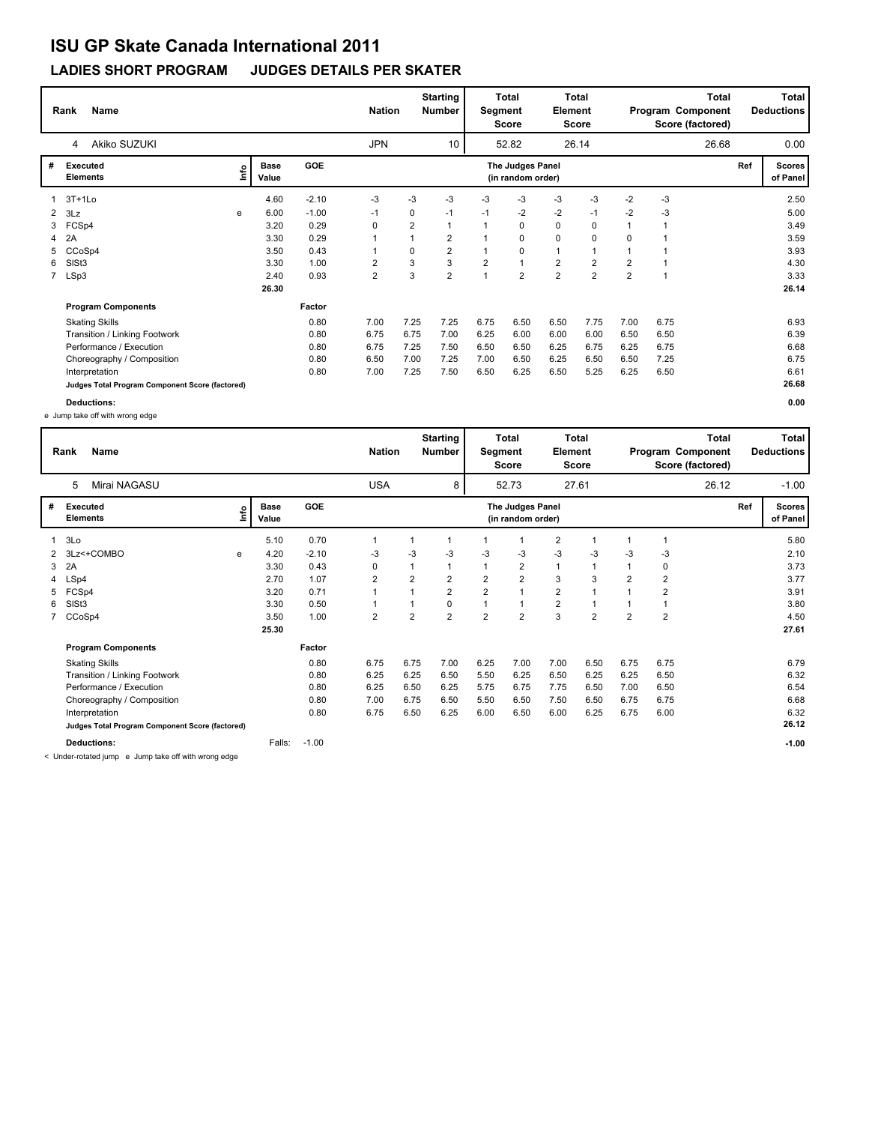### **LADIES SHORT PROGRAM JUDGES DETAILS PER SKATER**

|                | <b>Name</b><br>Rank                             |     |                      |            | <b>Nation</b>  |              | <b>Starting</b><br><b>Number</b> |                | <b>Total</b><br>Segment<br><b>Score</b> | Element        | Total<br>Score |                |      | Total<br>Program Component<br>Score (factored) |     | Total<br><b>Deductions</b> |
|----------------|-------------------------------------------------|-----|----------------------|------------|----------------|--------------|----------------------------------|----------------|-----------------------------------------|----------------|----------------|----------------|------|------------------------------------------------|-----|----------------------------|
|                | Akiko SUZUKI<br>4                               |     |                      |            | <b>JPN</b>     |              | 10                               |                | 52.82                                   |                | 26.14          |                |      | 26.68                                          |     | 0.00                       |
| #              | Executed<br><b>Elements</b>                     | ١m٥ | <b>Base</b><br>Value | <b>GOE</b> |                |              |                                  |                | The Judges Panel<br>(in random order)   |                |                |                |      |                                                | Ref | <b>Scores</b><br>of Panel  |
|                | $3T+1L0$                                        |     | 4.60                 | $-2.10$    | -3             | -3           | -3                               | -3             | $-3$                                    | -3             | -3             | $-2$           | $-3$ |                                                |     | 2.50                       |
| $\overline{2}$ | 3Lz                                             | e   | 6.00                 | $-1.00$    | $-1$           | 0            | $-1$                             | $-1$           | $-2$                                    | $-2$           | $-1$           | $-2$           | -3   |                                                |     | 5.00                       |
| 3              | FCSp4                                           |     | 3.20                 | 0.29       | 0              | 2            | 1                                |                | 0                                       | 0              | 0              |                |      |                                                |     | 3.49                       |
|                | 2A                                              |     | 3.30                 | 0.29       |                | $\mathbf{1}$ | $\overline{2}$                   |                | 0                                       | $\mathbf 0$    | 0              | $\Omega$       |      |                                                |     | 3.59                       |
| 5              | CCoSp4                                          |     | 3.50                 | 0.43       |                | 0            | $\overline{2}$                   |                | 0                                       | $\mathbf{1}$   |                |                |      |                                                |     | 3.93                       |
| 6              | SISt <sub>3</sub>                               |     | 3.30                 | 1.00       | $\overline{2}$ | 3            | 3                                | $\overline{2}$ | $\mathbf{1}$                            | $\overline{2}$ | $\overline{2}$ | $\overline{2}$ |      |                                                |     | 4.30                       |
|                | 7 LSp3                                          |     | 2.40                 | 0.93       | 2              | 3            | $\overline{2}$                   |                | $\overline{2}$                          | $\overline{2}$ | $\overline{2}$ | $\overline{2}$ |      |                                                |     | 3.33                       |
|                |                                                 |     | 26.30                |            |                |              |                                  |                |                                         |                |                |                |      |                                                |     | 26.14                      |
|                | <b>Program Components</b>                       |     |                      | Factor     |                |              |                                  |                |                                         |                |                |                |      |                                                |     |                            |
|                | <b>Skating Skills</b>                           |     |                      | 0.80       | 7.00           | 7.25         | 7.25                             | 6.75           | 6.50                                    | 6.50           | 7.75           | 7.00           | 6.75 |                                                |     | 6.93                       |
|                | Transition / Linking Footwork                   |     |                      | 0.80       | 6.75           | 6.75         | 7.00                             | 6.25           | 6.00                                    | 6.00           | 6.00           | 6.50           | 6.50 |                                                |     | 6.39                       |
|                | Performance / Execution                         |     |                      | 0.80       | 6.75           | 7.25         | 7.50                             | 6.50           | 6.50                                    | 6.25           | 6.75           | 6.25           | 6.75 |                                                |     | 6.68                       |
|                | Choreography / Composition                      |     |                      | 0.80       | 6.50           | 7.00         | 7.25                             | 7.00           | 6.50                                    | 6.25           | 6.50           | 6.50           | 7.25 |                                                |     | 6.75                       |
|                | Interpretation                                  |     |                      | 0.80       | 7.00           | 7.25         | 7.50                             | 6.50           | 6.25                                    | 6.50           | 5.25           | 6.25           | 6.50 |                                                |     | 6.61                       |
|                | Judges Total Program Component Score (factored) |     |                      |            |                |              |                                  |                |                                         |                |                |                |      |                                                |     | 26.68                      |
|                | Deductions:                                     |     |                      |            |                |              |                                  |                |                                         |                |                |                |      |                                                |     | 0.00                       |

e Jump take off with wrong edge

|   | Name<br>Rank                       |                                                                                                                                                                                                                                   |                      |            | <b>Nation</b>  |                | <b>Starting</b><br><b>Number</b> | Segment        | Total<br><b>Score</b>                 | <b>Element</b> | <b>Total</b><br>Score |                | Program Component | <b>Total</b><br>Score (factored) |     | <b>Total</b><br><b>Deductions</b> |
|---|------------------------------------|-----------------------------------------------------------------------------------------------------------------------------------------------------------------------------------------------------------------------------------|----------------------|------------|----------------|----------------|----------------------------------|----------------|---------------------------------------|----------------|-----------------------|----------------|-------------------|----------------------------------|-----|-----------------------------------|
|   | Mirai NAGASU<br>5                  |                                                                                                                                                                                                                                   |                      |            | <b>USA</b>     |                | 8                                |                | 52.73                                 |                | 27.61                 |                |                   | 26.12                            |     | $-1.00$                           |
| # | <b>Executed</b><br><b>Elements</b> | ١nf٥                                                                                                                                                                                                                              | <b>Base</b><br>Value | <b>GOE</b> |                |                |                                  |                | The Judges Panel<br>(in random order) |                |                       |                |                   |                                  | Ref | <b>Scores</b><br>of Panel         |
|   | 3Lo                                |                                                                                                                                                                                                                                   | 5.10                 | 0.70       |                |                |                                  |                | 1                                     | $\overline{2}$ |                       |                | $\mathbf 1$       |                                  |     | 5.80                              |
| 2 | 3Lz<+COMBO                         | e                                                                                                                                                                                                                                 | 4.20                 | $-2.10$    | -3             | -3             | $-3$                             | $-3$           | -3                                    | $-3$           | -3                    | -3             | -3                |                                  |     | 2.10                              |
| 3 | 2A                                 |                                                                                                                                                                                                                                   | 3.30                 | 0.43       | 0              |                |                                  |                | $\overline{2}$                        | $\mathbf{1}$   |                       |                | 0                 |                                  |     | 3.73                              |
|   | 4 LSp4                             |                                                                                                                                                                                                                                   | 2.70                 | 1.07       | $\overline{2}$ | 2              | 2                                | $\overline{2}$ | $\overline{2}$                        | 3              | 3                     | $\overline{2}$ | $\overline{2}$    |                                  |     | 3.77                              |
| 5 | FCSp4                              |                                                                                                                                                                                                                                   | 3.20                 | 0.71       |                |                | $\overline{2}$                   | $\overline{2}$ | $\mathbf{1}$                          | $\overline{2}$ |                       |                | $\overline{2}$    |                                  |     | 3.91                              |
| 6 | SISt3                              |                                                                                                                                                                                                                                   | 3.30                 | 0.50       |                |                | 0                                |                | $\mathbf{1}$                          | $\overline{2}$ |                       |                | 1                 |                                  |     | 3.80                              |
|   | 7 CCoSp4                           |                                                                                                                                                                                                                                   | 3.50                 | 1.00       | 2              | $\overline{2}$ | $\overline{2}$                   | $\overline{2}$ | $\overline{2}$                        | 3              | $\overline{2}$        | $\overline{2}$ | $\overline{2}$    |                                  |     | 4.50                              |
|   |                                    |                                                                                                                                                                                                                                   | 25.30                |            |                |                |                                  |                |                                       |                |                       |                |                   |                                  |     | 27.61                             |
|   | <b>Program Components</b>          |                                                                                                                                                                                                                                   |                      | Factor     |                |                |                                  |                |                                       |                |                       |                |                   |                                  |     |                                   |
|   | <b>Skating Skills</b>              |                                                                                                                                                                                                                                   |                      | 0.80       | 6.75           | 6.75           | 7.00                             | 6.25           | 7.00                                  | 7.00           | 6.50                  | 6.75           | 6.75              |                                  |     | 6.79                              |
|   | Transition / Linking Footwork      |                                                                                                                                                                                                                                   |                      | 0.80       | 6.25           | 6.25           | 6.50                             | 5.50           | 6.25                                  | 6.50           | 6.25                  | 6.25           | 6.50              |                                  |     | 6.32                              |
|   | Performance / Execution            |                                                                                                                                                                                                                                   |                      | 0.80       | 6.25           | 6.50           | 6.25                             | 5.75           | 6.75                                  | 7.75           | 6.50                  | 7.00           | 6.50              |                                  |     | 6.54                              |
|   | Choreography / Composition         |                                                                                                                                                                                                                                   |                      | 0.80       | 7.00           | 6.75           | 6.50                             | 5.50           | 6.50                                  | 7.50           | 6.50                  | 6.75           | 6.75              |                                  |     | 6.68                              |
|   | Interpretation                     |                                                                                                                                                                                                                                   |                      | 0.80       | 6.75           | 6.50           | 6.25                             | 6.00           | 6.50                                  | 6.00           | 6.25                  | 6.75           | 6.00              |                                  |     | 6.32                              |
|   |                                    | Judges Total Program Component Score (factored)                                                                                                                                                                                   |                      |            |                |                |                                  |                |                                       |                |                       |                |                   |                                  |     | 26.12                             |
|   | <b>Deductions:</b>                 | $\mathbf{r}$ . The set of the set of the set of the set of the set of the set of the set of the set of the set of the set of the set of the set of the set of the set of the set of the set of the set of the set of the set of t | Falls:               | $-1.00$    |                |                |                                  |                |                                       |                |                       |                |                   |                                  |     | $-1.00$                           |

< Under-rotated jump e Jump take off with wrong edge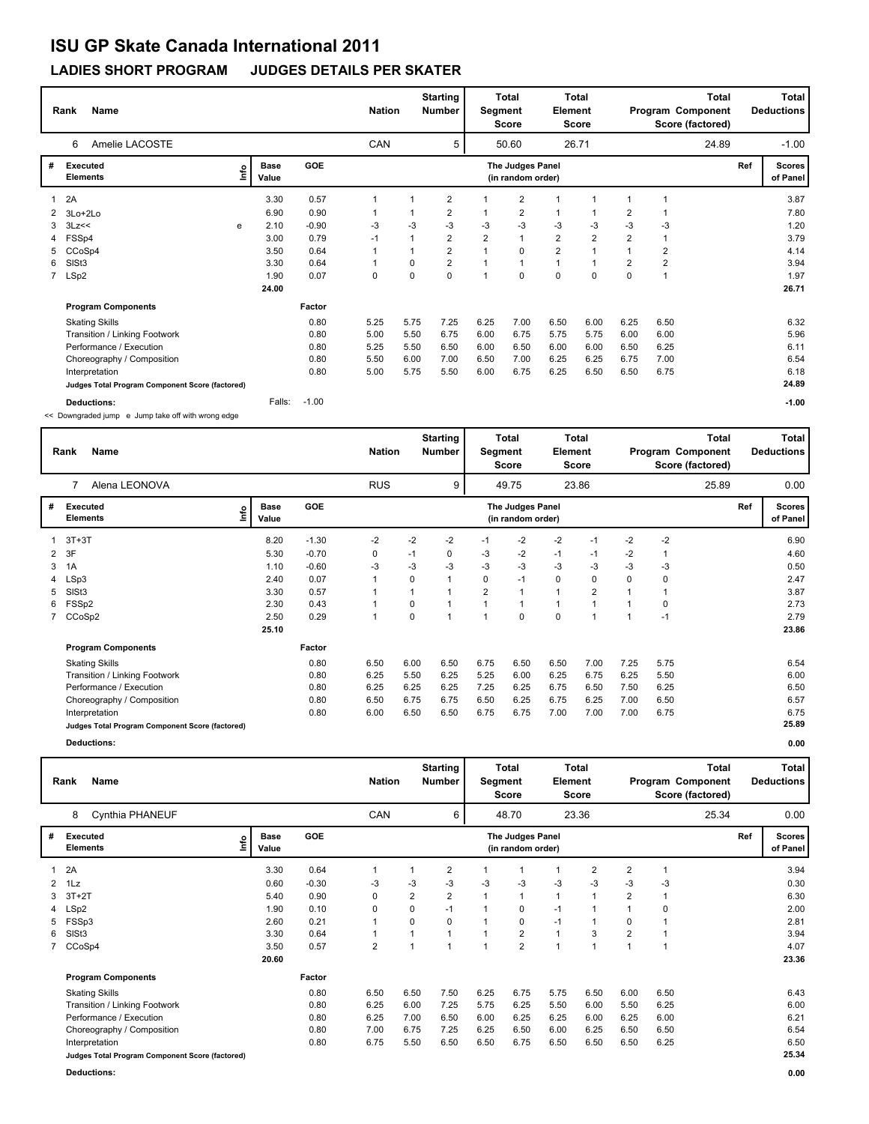### **LADIES SHORT PROGRAM JUDGES DETAILS PER SKATER**

|   | <b>Name</b><br>Rank                                |    |                      |            | <b>Nation</b> |      | <b>Starting</b><br><b>Number</b> | Segment        | Total<br><b>Score</b>                 | <b>Element</b>          | Total<br><b>Score</b> |                |                | Total<br>Program Component<br>Score (factored) |     | <b>Total</b><br><b>Deductions</b> |
|---|----------------------------------------------------|----|----------------------|------------|---------------|------|----------------------------------|----------------|---------------------------------------|-------------------------|-----------------------|----------------|----------------|------------------------------------------------|-----|-----------------------------------|
|   | Amelie LACOSTE<br>6                                |    |                      |            | CAN           |      | 5                                |                | 50.60                                 |                         | 26.71                 |                |                | 24.89                                          |     | $-1.00$                           |
| # | <b>Executed</b><br><b>Elements</b>                 | ١m | <b>Base</b><br>Value | <b>GOE</b> |               |      |                                  |                | The Judges Panel<br>(in random order) |                         |                       |                |                |                                                | Ref | <b>Scores</b><br>of Panel         |
|   | 2A                                                 |    | 3.30                 | 0.57       |               |      | 2                                |                | $\overline{2}$                        |                         | $\overline{1}$        |                |                |                                                |     | 3.87                              |
|   | 3Lo+2Lo                                            |    | 6.90                 | 0.90       |               |      | 2                                | 1              | 2                                     | $\mathbf{1}$            | $\mathbf 1$           | 2              |                |                                                |     | 7.80                              |
|   | 3Lz<<                                              | е  | 2.10                 | $-0.90$    | -3            | -3   | $-3$                             | $-3$           | -3                                    | $-3$                    | -3                    | -3             | -3             |                                                |     | 1.20                              |
| 4 | FSSp4                                              |    | 3.00                 | 0.79       | $-1$          |      | $\overline{2}$                   | $\overline{2}$ | $\mathbf{1}$                          | $\overline{2}$          | $\overline{2}$        | $\overline{2}$ | 1              |                                                |     | 3.79                              |
| 5 | CCoSp4                                             |    | 3.50                 | 0.64       |               |      | 2                                | 1              | $\mathbf 0$                           | $\overline{\mathbf{c}}$ | $\overline{1}$        |                | $\overline{2}$ |                                                |     | 4.14                              |
| 6 | SISt <sub>3</sub>                                  |    | 3.30                 | 0.64       | 1             | 0    | $\overline{2}$                   | $\mathbf{1}$   | $\mathbf{1}$                          | $\mathbf{1}$            | $\overline{1}$        | $\overline{2}$ | $\overline{2}$ |                                                |     | 3.94                              |
|   | 7 LSp2                                             |    | 1.90                 | 0.07       | 0             | 0    | $\mathbf 0$                      | 1              | $\mathbf 0$                           | $\mathbf 0$             | $\mathbf 0$           | $\Omega$       | $\overline{1}$ |                                                |     | 1.97                              |
|   |                                                    |    | 24.00                |            |               |      |                                  |                |                                       |                         |                       |                |                |                                                |     | 26.71                             |
|   | <b>Program Components</b>                          |    |                      | Factor     |               |      |                                  |                |                                       |                         |                       |                |                |                                                |     |                                   |
|   | <b>Skating Skills</b>                              |    |                      | 0.80       | 5.25          | 5.75 | 7.25                             | 6.25           | 7.00                                  | 6.50                    | 6.00                  | 6.25           | 6.50           |                                                |     | 6.32                              |
|   | Transition / Linking Footwork                      |    |                      | 0.80       | 5.00          | 5.50 | 6.75                             | 6.00           | 6.75                                  | 5.75                    | 5.75                  | 6.00           | 6.00           |                                                |     | 5.96                              |
|   | Performance / Execution                            |    |                      | 0.80       | 5.25          | 5.50 | 6.50                             | 6.00           | 6.50                                  | 6.00                    | 6.00                  | 6.50           | 6.25           |                                                |     | 6.11                              |
|   | Choreography / Composition                         |    |                      | 0.80       | 5.50          | 6.00 | 7.00                             | 6.50           | 7.00                                  | 6.25                    | 6.25                  | 6.75           | 7.00           |                                                |     | 6.54                              |
|   | Interpretation                                     |    |                      | 0.80       | 5.00          | 5.75 | 5.50                             | 6.00           | 6.75                                  | 6.25                    | 6.50                  | 6.50           | 6.75           |                                                |     | 6.18                              |
|   | Judges Total Program Component Score (factored)    |    |                      |            |               |      |                                  |                |                                       |                         |                       |                |                |                                                |     | 24.89                             |
|   | <b>Deductions:</b>                                 |    | Falls:               | $-1.00$    |               |      |                                  |                |                                       |                         |                       |                |                |                                                |     | $-1.00$                           |
|   | << Downgraded jump e Jump take off with wrong edge |    |                      |            |               |      |                                  |                |                                       |                         |                       |                |                |                                                |     |                                   |

|   | <b>Name</b><br>Rank                             |      |                      |            | <b>Nation</b>  |      | <b>Starting</b><br><b>Number</b> | Segment        | <b>Total</b><br>Score                 | Element | Total<br>Score |      |      | Total<br>Program Component<br>Score (factored) |     | Total<br><b>Deductions</b> |
|---|-------------------------------------------------|------|----------------------|------------|----------------|------|----------------------------------|----------------|---------------------------------------|---------|----------------|------|------|------------------------------------------------|-----|----------------------------|
|   | Alena LEONOVA<br>$\overline{7}$                 |      |                      |            | <b>RUS</b>     |      | 9                                |                | 49.75                                 |         | 23.86          |      |      | 25.89                                          |     | 0.00                       |
| # | <b>Executed</b><br><b>Elements</b>              | ١nf٥ | <b>Base</b><br>Value | <b>GOE</b> |                |      |                                  |                | The Judges Panel<br>(in random order) |         |                |      |      |                                                | Ref | <b>Scores</b><br>of Panel  |
|   | $3T+3T$                                         |      | 8.20                 | $-1.30$    | $-2$           | $-2$ | $-2$                             | $-1$           | $-2$                                  | $-2$    | $-1$           | $-2$ | $-2$ |                                                |     | 6.90                       |
| 2 | 3F                                              |      | 5.30                 | $-0.70$    | 0              | $-1$ | 0                                | -3             | $-2$                                  | $-1$    | $-1$           | $-2$ | 1    |                                                |     | 4.60                       |
| 3 | 1A                                              |      | 1.10                 | $-0.60$    | -3             | -3   | -3                               | -3             | -3                                    | -3      | -3             | -3   | $-3$ |                                                |     | 0.50                       |
| 4 | LSp3                                            |      | 2.40                 | 0.07       | $\overline{1}$ | 0    |                                  | 0              | $-1$                                  | 0       | 0              | 0    | 0    |                                                |     | 2.47                       |
| 5 | SISt <sub>3</sub>                               |      | 3.30                 | 0.57       |                |      |                                  | $\overline{2}$ | $\mathbf{1}$                          |         | $\overline{2}$ |      | 1    |                                                |     | 3.87                       |
| 6 | FSSp2                                           |      | 2.30                 | 0.43       |                | 0    |                                  |                |                                       |         | 1              |      | 0    |                                                |     | 2.73                       |
|   | 7 CCoSp2                                        |      | 2.50                 | 0.29       | 1              | 0    |                                  |                | 0                                     | 0       | 1              |      | $-1$ |                                                |     | 2.79                       |
|   |                                                 |      | 25.10                |            |                |      |                                  |                |                                       |         |                |      |      |                                                |     | 23.86                      |
|   | <b>Program Components</b>                       |      |                      | Factor     |                |      |                                  |                |                                       |         |                |      |      |                                                |     |                            |
|   | <b>Skating Skills</b>                           |      |                      | 0.80       | 6.50           | 6.00 | 6.50                             | 6.75           | 6.50                                  | 6.50    | 7.00           | 7.25 | 5.75 |                                                |     | 6.54                       |
|   | Transition / Linking Footwork                   |      |                      | 0.80       | 6.25           | 5.50 | 6.25                             | 5.25           | 6.00                                  | 6.25    | 6.75           | 6.25 | 5.50 |                                                |     | 6.00                       |
|   | Performance / Execution                         |      |                      | 0.80       | 6.25           | 6.25 | 6.25                             | 7.25           | 6.25                                  | 6.75    | 6.50           | 7.50 | 6.25 |                                                |     | 6.50                       |
|   | Choreography / Composition                      |      |                      | 0.80       | 6.50           | 6.75 | 6.75                             | 6.50           | 6.25                                  | 6.75    | 6.25           | 7.00 | 6.50 |                                                |     | 6.57                       |
|   | Interpretation                                  |      |                      | 0.80       | 6.00           | 6.50 | 6.50                             | 6.75           | 6.75                                  | 7.00    | 7.00           | 7.00 | 6.75 |                                                |     | 6.75                       |
|   | Judges Total Program Component Score (factored) |      |                      |            |                |      |                                  |                |                                       |         |                |      |      |                                                |     | 25.89                      |

| 0.00 |
|------|
|      |

|   | <b>Name</b><br>Rank                             |                      |            | <b>Nation</b>  |                         | <b>Starting</b><br><b>Number</b> | Segment        | <b>Total</b><br>Score                 | Element      | <b>Total</b><br>Score |                |      | <b>Total</b><br>Program Component<br>Score (factored) |     | <b>Total</b><br><b>Deductions</b> |
|---|-------------------------------------------------|----------------------|------------|----------------|-------------------------|----------------------------------|----------------|---------------------------------------|--------------|-----------------------|----------------|------|-------------------------------------------------------|-----|-----------------------------------|
|   | Cynthia PHANEUF<br>8                            |                      |            | CAN            |                         | 6                                |                | 48.70                                 |              | 23.36                 |                |      | 25.34                                                 |     | 0.00                              |
| # | Executed<br>lnfo<br><b>Elements</b>             | <b>Base</b><br>Value | <b>GOE</b> |                |                         |                                  |                | The Judges Panel<br>(in random order) |              |                       |                |      |                                                       | Ref | Scores  <br>of Panel              |
|   | 2A                                              | 3.30                 | 0.64       |                |                         | $\overline{2}$                   |                |                                       |              | $\overline{2}$        | $\overline{2}$ |      |                                                       |     | 3.94                              |
|   | $2$ 1 Lz                                        | 0.60                 | $-0.30$    | -3             | -3                      | -3                               | -3             | -3                                    | $-3$         | -3                    | -3             | -3   |                                                       |     | 0.30                              |
| 3 | $3T+2T$                                         | 5.40                 | 0.90       | 0              | $\overline{\mathbf{c}}$ | $\overline{2}$                   | $\overline{1}$ |                                       | 1            |                       | $\overline{2}$ |      |                                                       |     | 6.30                              |
|   | 4 LSp2                                          | 1.90                 | 0.10       | 0              | 0                       | $-1$                             | 1              | 0                                     | $-1$         |                       |                | 0    |                                                       |     | 2.00                              |
| 5 | FSSp3                                           | 2.60                 | 0.21       |                | 0                       | $\Omega$                         |                | 0                                     | $-1$         | -1                    | 0              |      |                                                       |     | 2.81                              |
| 6 | SISt <sub>3</sub>                               | 3.30                 | 0.64       |                |                         |                                  |                | $\overline{2}$                        | $\mathbf{1}$ | 3                     | $\overline{2}$ |      |                                                       |     | 3.94                              |
|   | 7 CCoSp4                                        | 3.50                 | 0.57       | $\overline{2}$ |                         | $\overline{A}$                   | $\overline{ }$ | $\overline{2}$                        | 1            | 1                     |                |      |                                                       |     | 4.07                              |
|   |                                                 | 20.60                |            |                |                         |                                  |                |                                       |              |                       |                |      |                                                       |     | 23.36                             |
|   | <b>Program Components</b>                       |                      | Factor     |                |                         |                                  |                |                                       |              |                       |                |      |                                                       |     |                                   |
|   | <b>Skating Skills</b>                           |                      | 0.80       | 6.50           | 6.50                    | 7.50                             | 6.25           | 6.75                                  | 5.75         | 6.50                  | 6.00           | 6.50 |                                                       |     | 6.43                              |
|   | Transition / Linking Footwork                   |                      | 0.80       | 6.25           | 6.00                    | 7.25                             | 5.75           | 6.25                                  | 5.50         | 6.00                  | 5.50           | 6.25 |                                                       |     | 6.00                              |
|   | Performance / Execution                         |                      | 0.80       | 6.25           | 7.00                    | 6.50                             | 6.00           | 6.25                                  | 6.25         | 6.00                  | 6.25           | 6.00 |                                                       |     | 6.21                              |
|   | Choreography / Composition                      |                      | 0.80       | 7.00           | 6.75                    | 7.25                             | 6.25           | 6.50                                  | 6.00         | 6.25                  | 6.50           | 6.50 |                                                       |     | 6.54                              |
|   | Interpretation                                  |                      | 0.80       | 6.75           | 5.50                    | 6.50                             | 6.50           | 6.75                                  | 6.50         | 6.50                  | 6.50           | 6.25 |                                                       |     | 6.50                              |
|   | Judges Total Program Component Score (factored) |                      |            |                |                         |                                  |                |                                       |              |                       |                |      |                                                       |     | 25.34                             |

**Deductions: 0.00**